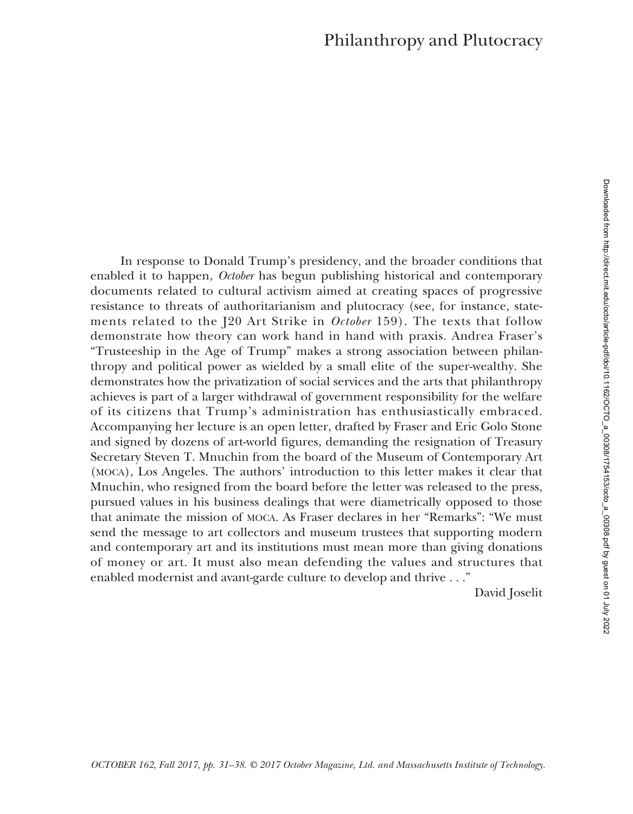## Philanthropy and Plutocracy

In response to Donald Trump's presidency, and the broader conditions that enabled it to happen, *October* has begun publishing historical and contemporary documents related to cultural activism aimed at creating spaces of progressive resistance to threats of authoritarianism and plutocracy (see, for instance, statements related to the J20 Art Strike in *October* 159). The texts that follow demonstrate how theory can work hand in hand with praxis. Andrea Fraser's "Trusteeship in the Age of Trump" makes a strong association between philanthropy and political power as wielded by a small elite of the super-wealthy. She demonstrates how the privatization of social services and the arts that philanthropy achieves is part of a larger withdrawal of government responsibility for the welfare of its citizens that Trump's administration has enthusiastically embraced. Accompanying her lecture is an open letter, drafted by Fraser and Eric Golo Stone and signed by dozens of art-world figures, demanding the resignation of Treasury Secretary Steven T. Mnuchin from the board of the Museum of Contemporary Art (MoCA), Los Angeles. The authors' introduction to this letter makes it clear that Mnuchin, who resigned from the board before the letter was released to the press, pursued values in his business dealings that were diametrically opposed to those that animate the mission of MoCA. As Fraser declares in her "Remarks": "We must send the message to art collectors and museum trustees that supporting modern and contemporary art and its institutions must mean more than giving donations of money or art. It must also mean defending the values and structures that enabled modernist and avant-garde culture to develop and thrive . . ."

David Joselit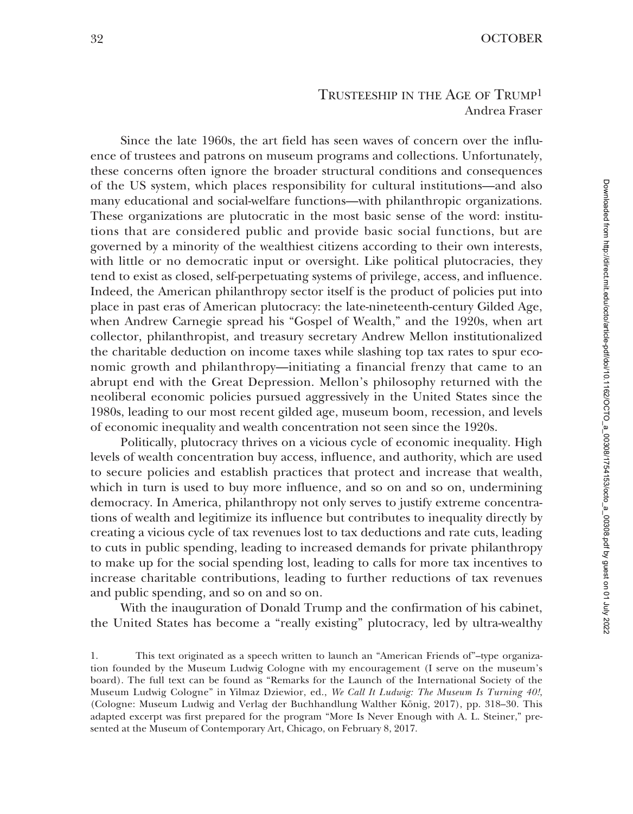## TRuSTEEShIP In ThE AGE oF TRuMP1 Andrea Fraser

Since the late 1960s, the art field has seen waves of concern over the influence of trustees and patrons on museum programs and collections. Unfortunately, these concerns often ignore the broader structural conditions and consequences of the uS system, which places responsibility for cultural institutions—and also many educational and social-welfare functions—with philanthropic organizations. These organizations are plutocratic in the most basic sense of the word: institutions that are considered public and provide basic social functions, but are governed by a minority of the wealthiest citizens according to their own interests, with little or no democratic input or oversight. Like political plutocracies, they tend to exist as closed, self-perpetuating systems of privilege, access, and influence. Indeed, the American philanthropy sector itself is the product of policies put into place in past eras of American plutocracy: the late-nineteenth-century Gilded Age, when Andrew Carnegie spread his "Gospel of Wealth," and the 1920s, when art collector, philanthropist, and treasury secretary Andrew Mellon institutionalized the charitable deduction on income taxes while slashing top tax rates to spur economic growth and philanthropy—initiating a financial frenzy that came to an abrupt end with the Great Depression. Mellon's philosophy returned with the neoliberal economic policies pursued aggressively in the United States since the 1980s, leading to our most recent gilded age, museum boom, recession, and levels of economic inequality and wealth concentration not seen since the 1920s.

Politically, plutocracy thrives on a vicious cycle of economic inequality. high levels of wealth concentration buy access, influence, and authority, which are used to secure policies and establish practices that protect and increase that wealth, which in turn is used to buy more influence, and so on and so on, undermining democracy. In America, philanthropy not only serves to justify extreme concentrations of wealth and legitimize its influence but contributes to inequality directly by creating a vicious cycle of tax revenues lost to tax deductions and rate cuts, leading to cuts in public spending, leading to increased demands for private philanthropy to make up for the social spending lost, leading to calls for more tax incentives to increase charitable contributions, leading to further reductions of tax revenues and public spending, and so on and so on.

With the inauguration of Donald Trump and the confirmation of his cabinet, the United States has become a "really existing" plutocracy, led by ultra-wealthy

<sup>1.</sup> This text originated as a speech written to launch an "American Friends of"–type organization founded by the Museum Ludwig Cologne with my encouragement (I serve on the museum's board). The full text can be found as "Remarks for the Launch of the International Society of the Museum Ludwig Cologne" in Yilmaz Dziewior, ed., *We Call It Ludwig: The Museum Is Turning 40!*, (Cologne: Museum Ludwig and Verlag der Buchhandlung Walther König, 2017), pp. 318–30. This adapted excerpt was first prepared for the program "More Is Never Enough with A. L. Steiner," presented at the Museum of Contemporary Art, Chicago, on February 8, 2017.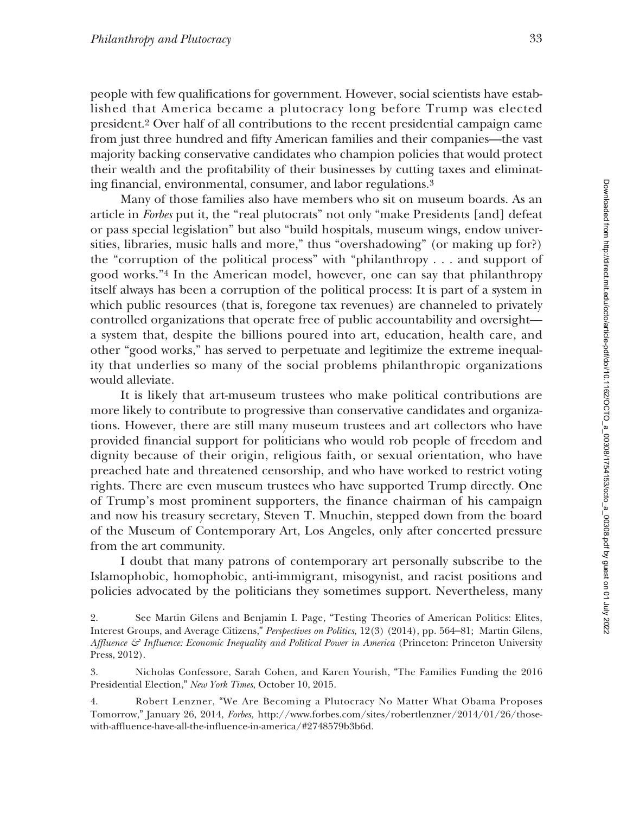people with few qualifications for government. however, social scientists have established that America became a plutocracy long before Trump was elected president.2 over half of all contributions to the recent presidential campaign came from just three hundred and fifty American families and their companies—the vast majority backing conservative candidates who champion policies that would protect their wealth and the profitability of their businesses by cutting taxes and eliminating financial, environmental, consumer, and labor regulations.3

Many of those families also have members who sit on museum boards. As an article in *Forbes* put it, the "real plutocrats" not only "make Presidents [and] defeat or pass special legislation" but also "build hospitals, museum wings, endow universities, libraries, music halls and more," thus "overshadowing" (or making up for?) the "corruption of the political process" with "philanthropy . . . and support of good works."4 In the American model, however, one can say that philanthropy itself always has been a corruption of the political process: It is part of a system in which public resources (that is, foregone tax revenues) are channeled to privately controlled organizations that operate free of public accountability and oversight a system that, despite the billions poured into art, education, health care, and other "good works," has served to perpetuate and legitimize the extreme inequality that underlies so many of the social problems philanthropic organizations would alleviate.

It is likely that art-museum trustees who make political contributions are more likely to contribute to progressive than conservative candidates and organizations. however, there are still many museum trustees and art collectors who have provided financial support for politicians who would rob people of freedom and dignity because of their origin, religious faith, or sexual orientation, who have preached hate and threatened censorship, and who have worked to restrict voting rights. There are even museum trustees who have supported Trump directly. One of Trump's most prominent supporters, the finance chairman of his campaign and now his treasury secretary, Steven T. Mnuchin, stepped down from the board of the Museum of Contemporary Art, Los Angeles, only after concerted pressure from the art community.

I doubt that many patrons of contemporary art personally subscribe to the Islamophobic, homophobic, anti-immigrant, misogynist, and racist positions and policies advocated by the politicians they sometimes support. Nevertheless, many

2. See Martin Gilens and Benjamin I. Page, "Testing Theories of American Politics: Elites, Interest Groups, and Average Citizens," *Perspectives on Politics*, 12(3) (2014), pp. 564–81; Martin Gilens, *Affluence & Influence: Economic Inequality and Political Power in America* (Princeton: Princeton university Press, 2012).

3. nicholas Confessore, Sarah Cohen, and Karen Yourish, "The Families Funding the 2016 Presidential Election," *New York Times*, october 10, 2015.

4. Robert Lenzner, "We Are Becoming a Plutocracy no Matter What obama Proposes Tomorrow," January 26, 2014, *Forbes,* http://www.forbes.com/sites/robertlenzner/2014/01/26/thosewith-affluence-have-all-the-influence-in-america/#2748579b3b6d.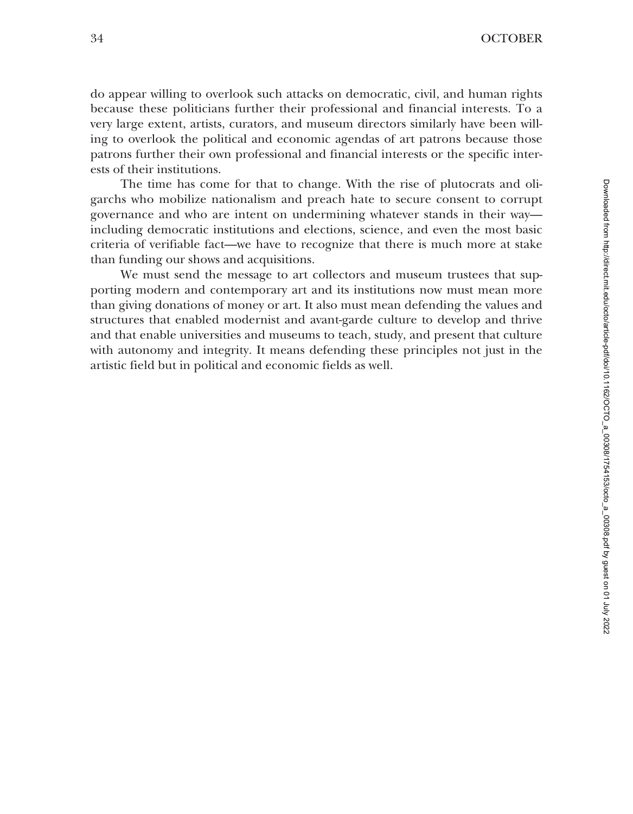do appear willing to overlook such attacks on democratic, civil, and human rights because these politicians further their professional and financial interests. To a very large extent, artists, curators, and museum directors similarly have been willing to overlook the political and economic agendas of art patrons because those patrons further their own professional and financial interests or the specific interests of their institutions.

The time has come for that to change. With the rise of plutocrats and oligarchs who mobilize nationalism and preach hate to secure consent to corrupt governance and who are intent on undermining whatever stands in their way including democratic institutions and elections, science, and even the most basic criteria of verifiable fact—we have to recognize that there is much more at stake than funding our shows and acquisitions.

We must send the message to art collectors and museum trustees that supporting modern and contemporary art and its institutions now must mean more than giving donations of money or art. It also must mean defending the values and structures that enabled modernist and avant-garde culture to develop and thrive and that enable universities and museums to teach, study, and present that culture with autonomy and integrity. It means defending these principles not just in the artistic field but in political and economic fields as well.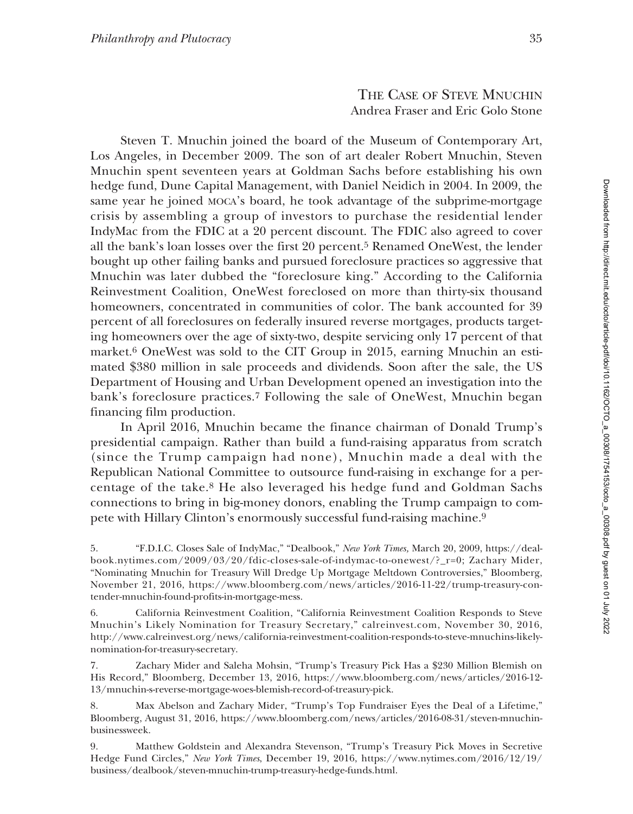Steven T. Mnuchin joined the board of the Museum of Contemporary Art, Los Angeles, in December 2009. The son of art dealer Robert Mnuchin, Steven Mnuchin spent seventeen years at Goldman Sachs before establishing his own hedge fund, Dune Capital Management, with Daniel Neidich in 2004. In 2009, the same year he joined MoCA's board, he took advantage of the subprime-mortgage crisis by assembling a group of investors to purchase the residential lender IndyMac from the FDIC at a 20 percent discount. The FDIC also agreed to cover all the bank's loan losses over the first 20 percent.5 Renamed oneWest, the lender bought up other failing banks and pursued foreclosure practices so aggressive that Mnuchin was later dubbed the "foreclosure king." According to the California Reinvestment Coalition, oneWest foreclosed on more than thirty-six thousand homeowners, concentrated in communities of color. The bank accounted for 39 percent of all foreclosures on federally insured reverse mortgages, products targeting homeowners over the age of sixty-two, despite servicing only 17 percent of that market.<sup>6</sup> OneWest was sold to the CIT Group in 2015, earning Mnuchin an estimated \$380 million in sale proceeds and dividends. Soon after the sale, the US Department of Housing and Urban Development opened an investigation into the bank's foreclosure practices.7 Following the sale of oneWest, Mnuchin began financing film production.

In April 2016, Mnuchin became the finance chairman of Donald Trump's presidential campaign. Rather than build a fund-raising apparatus from scratch (since the Trump campaign had none), Mnuchin made a deal with the Republican National Committee to outsource fund-raising in exchange for a percentage of the take.8 he also leveraged his hedge fund and Goldman Sachs connections to bring in big-money donors, enabling the Trump campaign to compete with hillary Clinton's enormously successful fund-raising machine.9

5. "F.D.I.C. Closes Sale of IndyMac," "Dealbook," *New York Times,* March 20, 2009, https://dealbook.nytimes.com/2009/03/20/fdic-closes-sale-of-indymac-to-onewest/?\_r=0; Zachary Mider, "Nominating Mnuchin for Treasury Will Dredge Up Mortgage Meltdown Controversies," Bloomberg, november 21, 2016, https://www.bloomberg.com/news/articles/2016-11-22/trump-treasury-contender-mnuchin-found-profits-in-mortgage-mess.

6. California Reinvestment Coalition, "California Reinvestment Coalition Responds to Steve Mnuchin's Likely nomination for Treasury Secretary," calreinvest.com, november 30, 2016, http://www.calreinvest.org/news/california-reinvestment-coalition-responds-to-steve-mnuchins-likelynomination-for-treasury-secretary.

7. Zachary Mider and Saleha Mohsin, "Trump's Treasury Pick has a \$230 Million Blemish on his Record," Bloomberg, December 13, 2016, https://www.bloomberg.com/news/articles/2016-12- 13/mnuchin-s-reverse-mortgage-woes-blemish-record-of-treasury-pick.

8. Max Abelson and Zachary Mider, "Trump's Top Fundraiser Eyes the Deal of a Lifetime," Bloomberg, August 31, 2016, https://www.bloomberg.com/news/articles/2016-08-31/steven-mnuchinbusinessweek.

9. Matthew Goldstein and Alexandra Stevenson, "Trump's Treasury Pick Moves in Secretive hedge Fund Circles," *New York Times*, December 19, 2016, https://www.nytimes.com/2016/12/19/ business/dealbook/steven-mnuchin-trump-treasury-hedge-funds.html.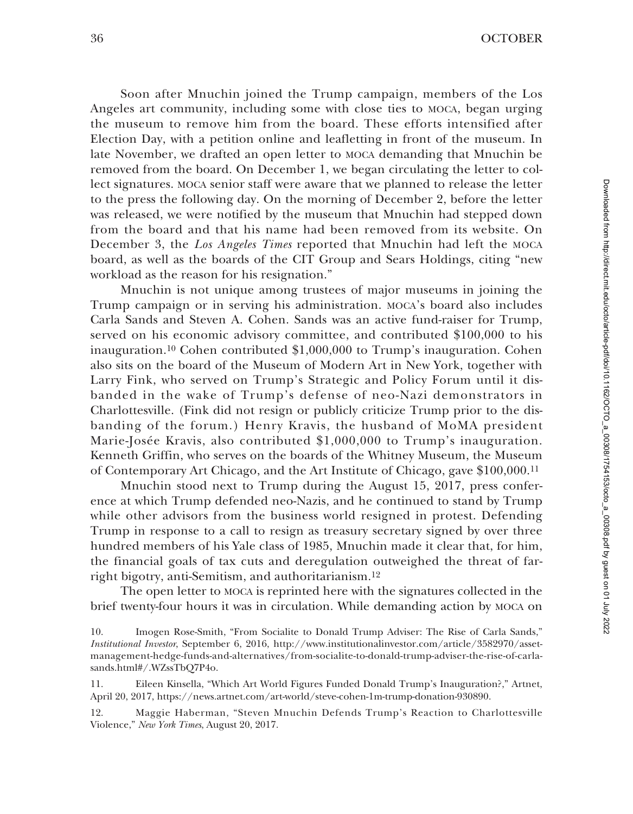36 october 2005 october 2006 october 2006 october 2006 october 2006 october 2006 october 2006 october 2006 october 2006 october 2006 october 2006 october 2006 october 2006 october 2006 october 2006 october 2006 october 200

Soon after Mnuchin joined the Trump campaign, members of the Los Angeles art community, including some with close ties to MoCA, began urging the museum to remove him from the board. These efforts intensified after Election Day, with a petition online and leafletting in front of the museum. In late November, we drafted an open letter to MOCA demanding that Mnuchin be removed from the board. On December 1, we began circulating the letter to collect signatures. MoCA senior staff were aware that we planned to release the letter to the press the following day. On the morning of December 2, before the letter was released, we were notified by the museum that Mnuchin had stepped down from the board and that his name had been removed from its website. on December 3, the *Los Angeles Times* reported that Mnuchin had left the MoCA board, as well as the boards of the CIT Group and Sears holdings, citing "new workload as the reason for his resignation."

Mnuchin is not unique among trustees of major museums in joining the Trump campaign or in serving his administration. MoCA's board also includes Carla Sands and Steven A. Cohen. Sands was an active fund-raiser for Trump, served on his economic advisory committee, and contributed \$100,000 to his inauguration.10 Cohen contributed \$1,000,000 to Trump's inauguration. Cohen also sits on the board of the Museum of Modern Art in new York, together with Larry Fink, who served on Trump's Strategic and Policy Forum until it disbanded in the wake of Trump's defense of neo-nazi demonstrators in Charlottesville. (Fink did not resign or publicly criticize Trump prior to the disbanding of the forum.) Henry Kravis, the husband of MoMA president Marie-Josée Kravis, also contributed \$1,000,000 to Trump's inauguration. Kenneth Griffin, who serves on the boards of the Whitney Museum, the Museum of Contemporary Art Chicago, and the Art Institute of Chicago, gave \$100,000.11

Mnuchin stood next to Trump during the August 15, 2017, press conference at which Trump defended neo-Nazis, and he continued to stand by Trump while other advisors from the business world resigned in protest. Defending Trump in response to a call to resign as treasury secretary signed by over three hundred members of his Yale class of 1985, Mnuchin made it clear that, for him, the financial goals of tax cuts and deregulation outweighed the threat of farright bigotry, anti-Semitism, and authoritarianism.12

The open letter to MoCA is reprinted here with the signatures collected in the brief twenty-four hours it was in circulation. While demanding action by MoCA on

<sup>10.</sup> Imogen Rose-Smith, "From Socialite to Donald Trump Adviser: The Rise of Carla Sands," *Institutional Investor*, September 6, 2016, http://www.institutionalinvestor.com/article/3582970/assetmanagement-hedge-funds-and-alternatives/from-socialite-to-donald-trump-adviser-the-rise-of-carlasands.html#/.WZssTbQ7P4o.

<sup>11.</sup> Eileen Kinsella, "Which Art World Figures Funded Donald Trump's Inauguration?," Artnet, April 20, 2017, https://news.artnet.com/art-world/steve-cohen-1m-trump-donation-930890.

<sup>12.</sup> Maggie haberman, "Steven Mnuchin Defends Trump's Reaction to Charlottesville Violence," *New York Times*, August 20, 2017.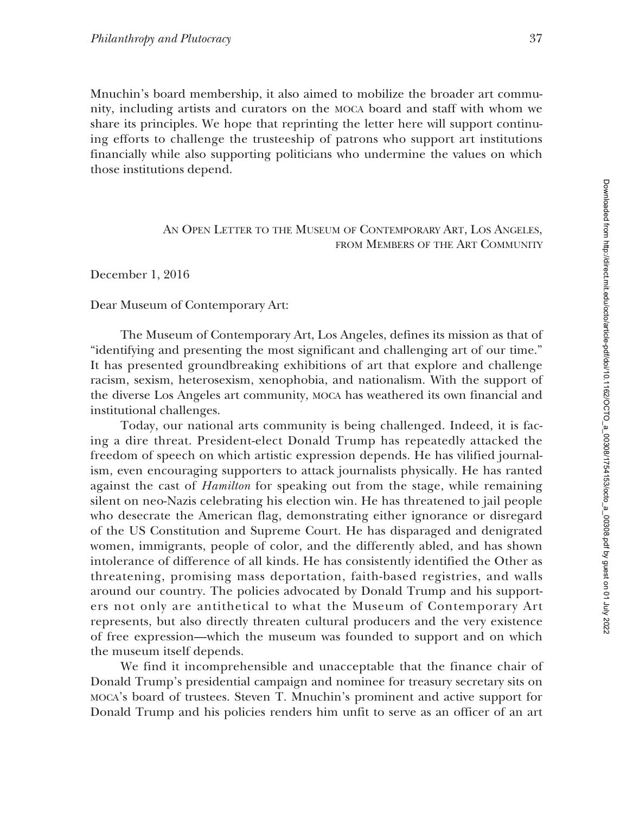Mnuchin's board membership, it also aimed to mobilize the broader art community, including artists and curators on the MoCA board and staff with whom we share its principles. We hope that reprinting the letter here will support continuing efforts to challenge the trusteeship of patrons who support art institutions financially while also supporting politicians who undermine the values on which those institutions depend.

## AN OPEN LETTER TO THE MUSEUM OF CONTEMPORARY ART, LOS ANGELES, FROM MEMBERS OF THE ART COMMUNITY

December 1, 2016

Dear Museum of Contemporary Art:

The Museum of Contemporary Art, Los Angeles, defines its mission as that of "identifying and presenting the most significant and challenging art of our time." It has presented groundbreaking exhibitions of art that explore and challenge racism, sexism, heterosexism, xenophobia, and nationalism. With the support of the diverse Los Angeles art community, MoCA has weathered its own financial and institutional challenges.

Today, our national arts community is being challenged. Indeed, it is facing a dire threat. President-elect Donald Trump has repeatedly attacked the freedom of speech on which artistic expression depends. he has vilified journalism, even encouraging supporters to attack journalists physically. he has ranted against the cast of *Hamilton* for speaking out from the stage, while remaining silent on neo-Nazis celebrating his election win. He has threatened to jail people who desecrate the American flag, demonstrating either ignorance or disregard of the uS Constitution and Supreme Court. he has disparaged and denigrated women, immigrants, people of color, and the differently abled, and has shown intolerance of difference of all kinds. he has consistently identified the other as threatening, promising mass deportation, faith-based registries, and walls around our country. The policies advocated by Donald Trump and his supporters not only are antithetical to what the Museum of Contemporary Art represents, but also directly threaten cultural producers and the very existence of free expression—which the museum was founded to support and on which the museum itself depends.

We find it incomprehensible and unacceptable that the finance chair of Donald Trump's presidential campaign and nominee for treasury secretary sits on MoCA's board of trustees. Steven T. Mnuchin's prominent and active support for Donald Trump and his policies renders him unfit to serve as an officer of an art